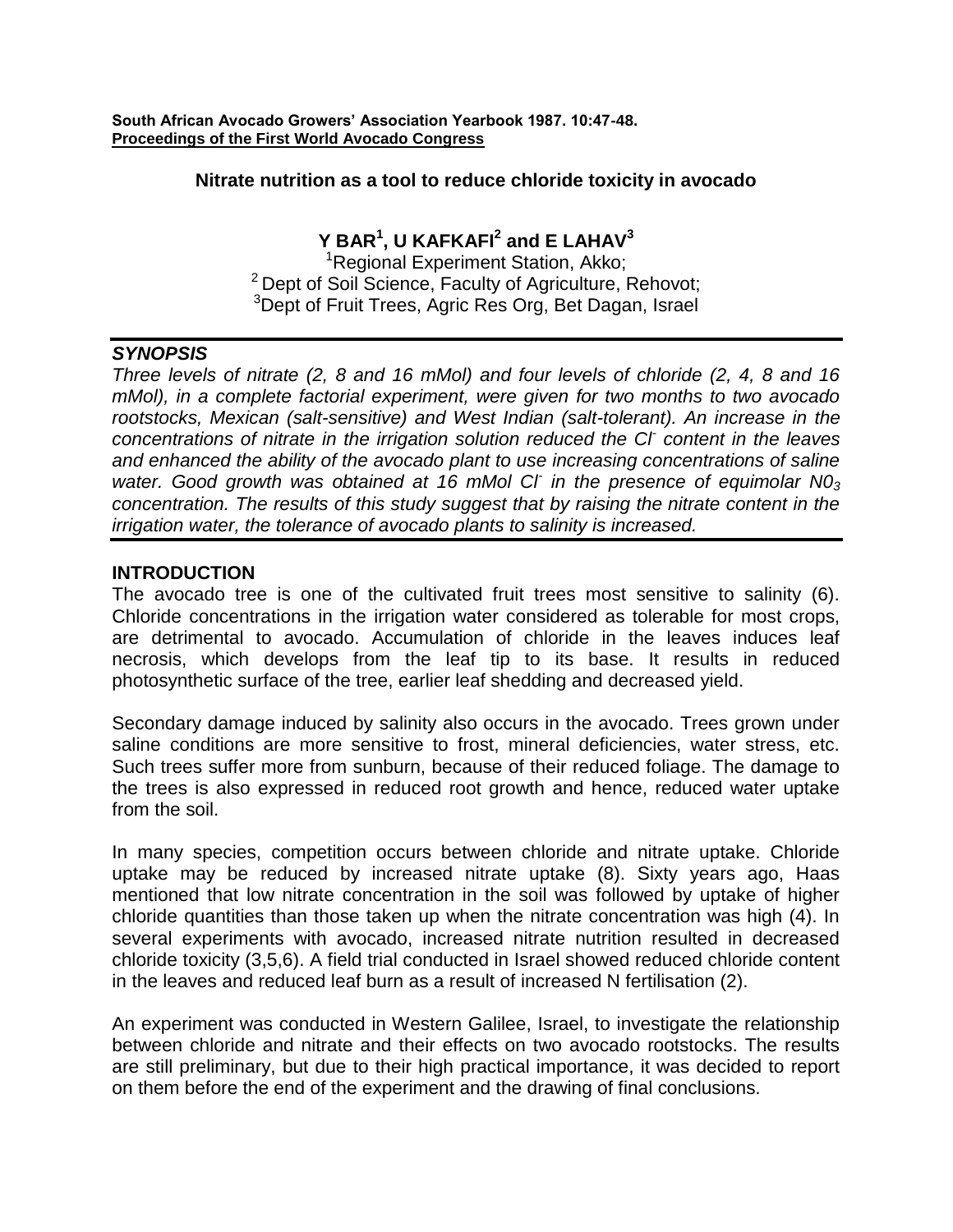**South African Avocado Growers' Association Yearbook 1987. 10:47-48. Proceedings of the First World Avocado Congress**

#### **Nitrate nutrition as a tool to reduce chloride toxicity in avocado**

# **Y BAR<sup>1</sup> , U KAFKAFI<sup>2</sup> and E LAHAV<sup>3</sup>**

<sup>1</sup>Regional Experiment Station, Akko; <sup>2</sup> Dept of Soil Science, Faculty of Agriculture, Rehovot; <sup>3</sup>Dept of Fruit Trees, Agric Res Org, Bet Dagan, Israel

## *SYNOPSIS*

*Three levels of nitrate (2, 8 and 16 mMol) and four levels of chloride (2, 4, 8 and 16 mMol), in a complete factorial experiment, were given for two months to two avocado rootstocks, Mexican (salt-sensitive) and West Indian (salt-tolerant). An increase in the concentrations of nitrate in the irrigation solution reduced the Cl-content in the leaves and enhanced the ability of the avocado plant to use increasing concentrations of saline water. Good growth was obtained at 16 mMol Cl-in the presence of equimolar N0<sup>3</sup> concentration. The results of this study suggest that by raising the nitrate content in the irrigation water, the tolerance of avocado plants to salinity is increased.*

## **INTRODUCTION**

The avocado tree is one of the cultivated fruit trees most sensitive to salinity (6). Chloride concentrations in the irrigation water considered as tolerable for most crops, are detrimental to avocado. Accumulation of chloride in the leaves induces leaf necrosis, which develops from the leaf tip to its base. It results in reduced photosynthetic surface of the tree, earlier leaf shedding and decreased yield.

Secondary damage induced by salinity also occurs in the avocado. Trees grown under saline conditions are more sensitive to frost, mineral deficiencies, water stress, etc. Such trees suffer more from sunburn, because of their reduced foliage. The damage to the trees is also expressed in reduced root growth and hence, reduced water uptake from the soil.

In many species, competition occurs between chloride and nitrate uptake. Chloride uptake may be reduced by increased nitrate uptake (8). Sixty years ago, Haas mentioned that low nitrate concentration in the soil was followed by uptake of higher chloride quantities than those taken up when the nitrate concentration was high (4). In several experiments with avocado, increased nitrate nutrition resulted in decreased chloride toxicity (3,5,6). A field trial conducted in Israel showed reduced chloride content in the leaves and reduced leaf burn as a result of increased N fertilisation (2).

An experiment was conducted in Western Galilee, Israel, to investigate the relationship between chloride and nitrate and their effects on two avocado rootstocks. The results are still preliminary, but due to their high practical importance, it was decided to report on them before the end of the experiment and the drawing of final conclusions.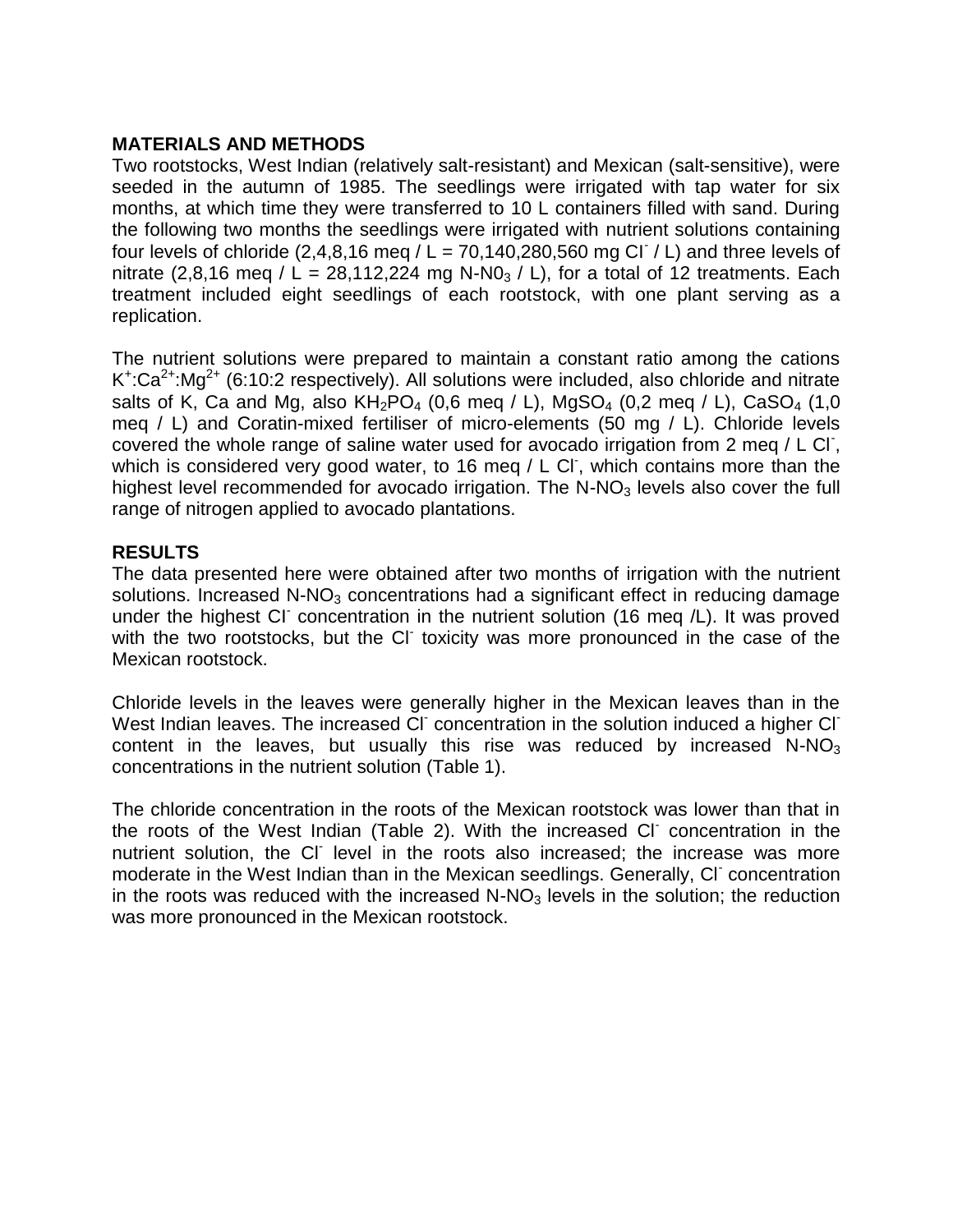## **MATERIALS AND METHODS**

Two rootstocks, West Indian (relatively salt-resistant) and Mexican (salt-sensitive), were seeded in the autumn of 1985. The seedlings were irrigated with tap water for six months, at which time they were transferred to 10 L containers filled with sand. During the following two months the seedlings were irrigated with nutrient solutions containing four levels of chloride (2,4,8,16 meq  $/L = 70,140,280,560$  mg Cl  $/L$ ) and three levels of nitrate (2,8,16 meg / L = 28,112,224 mg N-N0<sub>3</sub> / L), for a total of 12 treatments. Each treatment included eight seedlings of each rootstock, with one plant serving as a replication.

The nutrient solutions were prepared to maintain a constant ratio among the cations  $K^{\dagger}$ :Ca<sup>2+</sup>:Mg<sup>2+</sup> (6:10:2 respectively). All solutions were included, also chloride and nitrate salts of K, Ca and Mg, also  $KH_2PO_4$  (0,6 meq / L), MgSO<sub>4</sub> (0,2 meq / L), CaSO<sub>4</sub> (1,0 meq / L) and Coratin-mixed fertiliser of micro-elements (50 mg / L). Chloride levels covered the whole range of saline water used for avocado irrigation from 2 meq / L Cl, which is considered very good water, to 16 meq / L CI, which contains more than the highest level recommended for avocado irrigation. The  $N-NO<sub>3</sub>$  levels also cover the full range of nitrogen applied to avocado plantations.

## **RESULTS**

The data presented here were obtained after two months of irrigation with the nutrient solutions. Increased  $N-NO_3$  concentrations had a significant effect in reducing damage under the highest CI concentration in the nutrient solution (16 meq /L). It was proved with the two rootstocks, but the CI toxicity was more pronounced in the case of the Mexican rootstock.

Chloride levels in the leaves were generally higher in the Mexican leaves than in the West Indian leaves. The increased CI concentration in the solution induced a higher CI content in the leaves, but usually this rise was reduced by increased  $N-NO<sub>3</sub>$ concentrations in the nutrient solution (Table 1).

The chloride concentration in the roots of the Mexican rootstock was lower than that in the roots of the West Indian (Table 2). With the increased CI concentration in the nutrient solution, the Cl level in the roots also increased; the increase was more moderate in the West Indian than in the Mexican seedlings. Generally, CI concentration in the roots was reduced with the increased  $N-NO<sub>3</sub>$  levels in the solution; the reduction was more pronounced in the Mexican rootstock.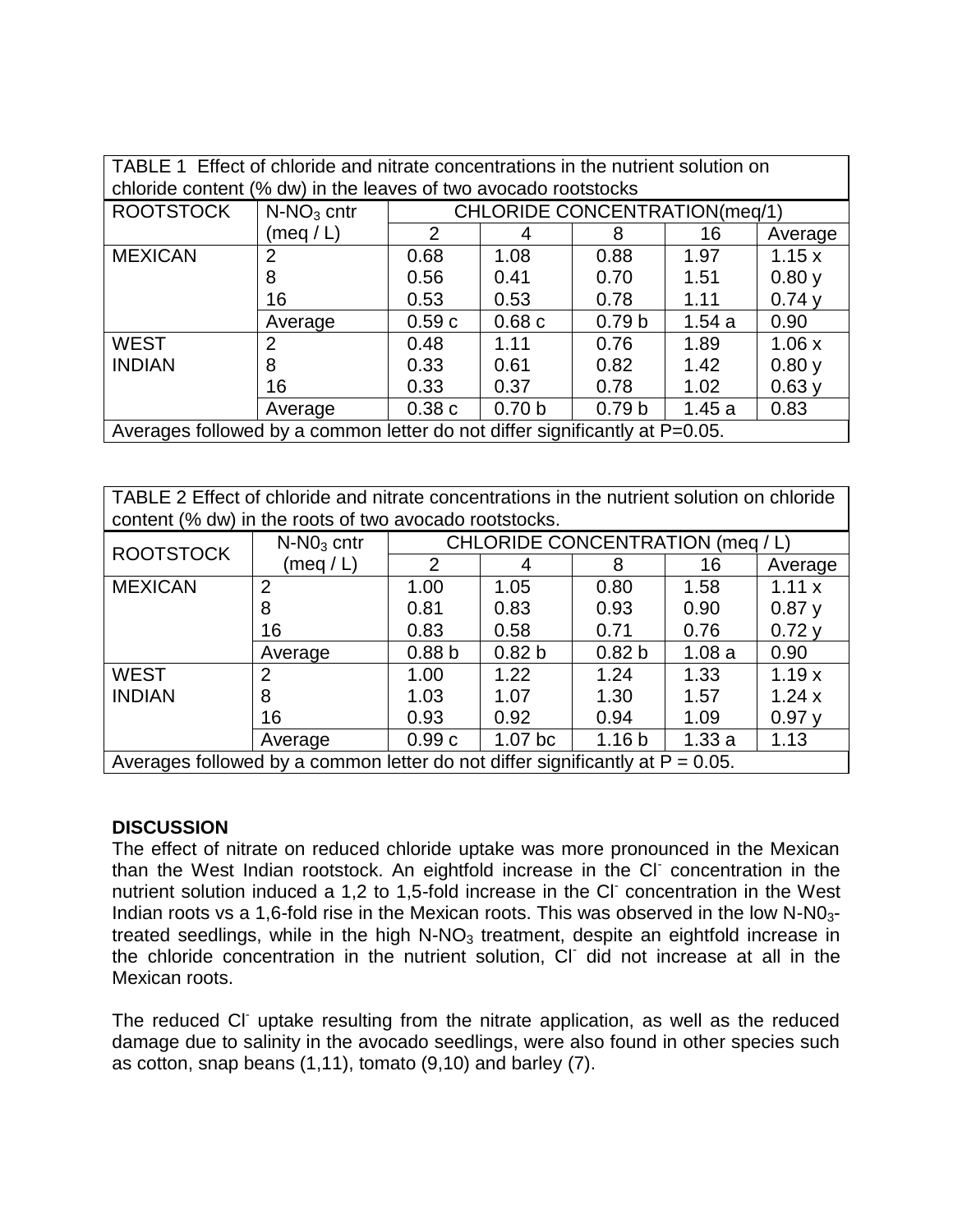| TABLE 1 Effect of chloride and nitrate concentrations in the nutrient solution on<br>chloride content (% dw) in the leaves of two avocado rootstocks |                |                                      |                   |                   |       |         |  |  |  |
|------------------------------------------------------------------------------------------------------------------------------------------------------|----------------|--------------------------------------|-------------------|-------------------|-------|---------|--|--|--|
| <b>ROOTSTOCK</b>                                                                                                                                     | $N-NO3$ cntr   | <b>CHLORIDE CONCENTRATION(meg/1)</b> |                   |                   |       |         |  |  |  |
|                                                                                                                                                      | (meq / L)      | 2                                    | 4                 | 8                 | 16    | Average |  |  |  |
| <b>MEXICAN</b>                                                                                                                                       | $\overline{2}$ | 0.68                                 | 1.08              | 0.88              | 1.97  | 1.15x   |  |  |  |
|                                                                                                                                                      | 8              | 0.56                                 | 0.41              | 0.70              | 1.51  | 0.80y   |  |  |  |
|                                                                                                                                                      | 16             | 0.53                                 | 0.53              | 0.78              | 1.11  | 0.74y   |  |  |  |
|                                                                                                                                                      | Average        | 0.59c                                | 0.68c             | 0.79 <sub>b</sub> | 1.54a | 0.90    |  |  |  |
| <b>WEST</b>                                                                                                                                          | 2              | 0.48                                 | 1.11              | 0.76              | 1.89  | 1.06x   |  |  |  |
| <b>INDIAN</b>                                                                                                                                        | 8              | 0.33                                 | 0.61              | 0.82              | 1.42  | 0.80y   |  |  |  |
|                                                                                                                                                      | 16             | 0.33                                 | 0.37              | 0.78              | 1.02  | 0.63y   |  |  |  |
|                                                                                                                                                      | Average        | 0.38c                                | 0.70 <sub>b</sub> | 0.79 <sub>b</sub> | 1.45a | 0.83    |  |  |  |
| Averages followed by a common letter do not differ significantly at P=0.05.                                                                          |                |                                      |                   |                   |       |         |  |  |  |

TABLE 2 Effect of chloride and nitrate concentrations in the nutrient solution on chloride content (% dw) in the roots of two avocado rootstocks.

| <b>ROOTSTOCK</b>                                                                 | $N-NO3$ cntr   | CHLORIDE CONCENTRATION (meg / L) |                    |                   |       |         |  |  |
|----------------------------------------------------------------------------------|----------------|----------------------------------|--------------------|-------------------|-------|---------|--|--|
|                                                                                  | (meq / L)      | 2                                | 4                  | 8                 | 16    | Average |  |  |
| <b>MEXICAN</b>                                                                   | $\overline{2}$ | 1.00                             | 1.05               | 0.80              | 1.58  | 1.11 x  |  |  |
|                                                                                  | 8              | 0.81                             | 0.83               | 0.93              | 0.90  | 0.87y   |  |  |
|                                                                                  | 16             | 0.83                             | 0.58               | 0.71              | 0.76  | 0.72y   |  |  |
|                                                                                  | Average        | 0.88 <sub>b</sub>                | 0.82 <sub>b</sub>  | 0.82 <sub>b</sub> | 1.08a | 0.90    |  |  |
| <b>WEST</b>                                                                      | 2              | 1.00                             | 1.22               | 1.24              | 1.33  | 1.19x   |  |  |
| <b>INDIAN</b>                                                                    | 8              | 1.03                             | 1.07               | 1.30              | 1.57  | 1.24x   |  |  |
|                                                                                  | 16             | 0.93                             | 0.92               | 0.94              | 1.09  | 0.97y   |  |  |
|                                                                                  | Average        | 0.99c                            | 1.07 <sub>bc</sub> | 1.16 <sub>b</sub> | 1.33a | 1.13    |  |  |
| Averages followed by a common letter do not differ significantly at $P = 0.05$ . |                |                                  |                    |                   |       |         |  |  |

## **DISCUSSION**

The effect of nitrate on reduced chloride uptake was more pronounced in the Mexican than the West Indian rootstock. An eightfold increase in the Cl-concentration in the nutrient solution induced a 1,2 to 1,5-fold increase in the Cl-concentration in the West Indian roots vs a 1,6-fold rise in the Mexican roots. This was observed in the low  $N-NO<sub>3</sub>$ treated seedlings, while in the high  $N-NO<sub>3</sub>$  treatment, despite an eightfold increase in the chloride concentration in the nutrient solution, Cl-did not increase at all in the Mexican roots.

The reduced CI uptake resulting from the nitrate application, as well as the reduced damage due to salinity in the avocado seedlings, were also found in other species such as cotton, snap beans (1,11), tomato (9,10) and barley (7).